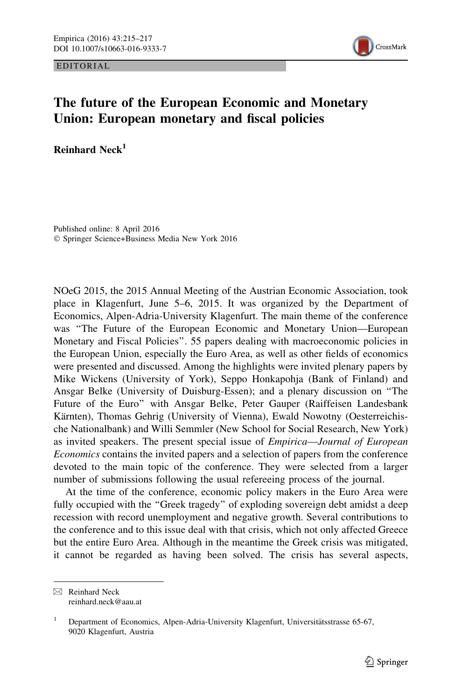EDITORIAL



## The future of the European Economic and Monetary Union: European monetary and fiscal policies

Reinhard Neck $<sup>1</sup>$ </sup>

Published online: 8 April 2016 © Springer Science+Business Media New York 2016

NOeG 2015, the 2015 Annual Meeting of the Austrian Economic Association, took place in Klagenfurt, June 5–6, 2015. It was organized by the Department of Economics, Alpen-Adria-University Klagenfurt. The main theme of the conference was ''The Future of the European Economic and Monetary Union—European Monetary and Fiscal Policies''. 55 papers dealing with macroeconomic policies in the European Union, especially the Euro Area, as well as other fields of economics were presented and discussed. Among the highlights were invited plenary papers by Mike Wickens (University of York), Seppo Honkapohja (Bank of Finland) and Ansgar Belke (University of Duisburg-Essen); and a plenary discussion on ''The Future of the Euro'' with Ansgar Belke, Peter Gauper (Raiffeisen Landesbank Kärnten), Thomas Gehrig (University of Vienna), Ewald Nowotny (Oesterreichische Nationalbank) and Willi Semmler (New School for Social Research, New York) as invited speakers. The present special issue of Empirica—Journal of European Economics contains the invited papers and a selection of papers from the conference devoted to the main topic of the conference. They were selected from a larger number of submissions following the usual refereeing process of the journal.

At the time of the conference, economic policy makers in the Euro Area were fully occupied with the ''Greek tragedy'' of exploding sovereign debt amidst a deep recession with record unemployment and negative growth. Several contributions to the conference and to this issue deal with that crisis, which not only affected Greece but the entire Euro Area. Although in the meantime the Greek crisis was mitigated, it cannot be regarded as having been solved. The crisis has several aspects,

 $\boxtimes$  Reinhard Neck reinhard.neck@aau.at

<sup>&</sup>lt;sup>1</sup> Department of Economics, Alpen-Adria-University Klagenfurt, Universitätsstrasse 65-67, 9020 Klagenfurt, Austria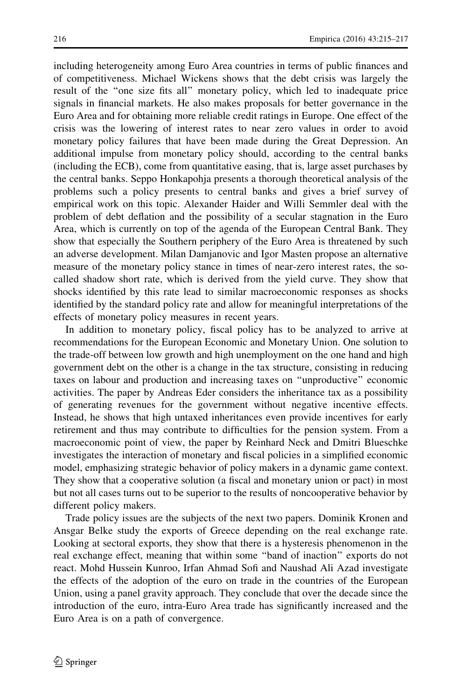including heterogeneity among Euro Area countries in terms of public finances and of competitiveness. Michael Wickens shows that the debt crisis was largely the result of the ''one size fits all'' monetary policy, which led to inadequate price signals in financial markets. He also makes proposals for better governance in the Euro Area and for obtaining more reliable credit ratings in Europe. One effect of the crisis was the lowering of interest rates to near zero values in order to avoid monetary policy failures that have been made during the Great Depression. An additional impulse from monetary policy should, according to the central banks (including the ECB), come from quantitative easing, that is, large asset purchases by the central banks. Seppo Honkapohja presents a thorough theoretical analysis of the problems such a policy presents to central banks and gives a brief survey of empirical work on this topic. Alexander Haider and Willi Semmler deal with the problem of debt deflation and the possibility of a secular stagnation in the Euro Area, which is currently on top of the agenda of the European Central Bank. They show that especially the Southern periphery of the Euro Area is threatened by such an adverse development. Milan Damjanovic and Igor Masten propose an alternative measure of the monetary policy stance in times of near-zero interest rates, the socalled shadow short rate, which is derived from the yield curve. They show that shocks identified by this rate lead to similar macroeconomic responses as shocks identified by the standard policy rate and allow for meaningful interpretations of the effects of monetary policy measures in recent years.

In addition to monetary policy, fiscal policy has to be analyzed to arrive at recommendations for the European Economic and Monetary Union. One solution to the trade-off between low growth and high unemployment on the one hand and high government debt on the other is a change in the tax structure, consisting in reducing taxes on labour and production and increasing taxes on ''unproductive'' economic activities. The paper by Andreas Eder considers the inheritance tax as a possibility of generating revenues for the government without negative incentive effects. Instead, he shows that high untaxed inheritances even provide incentives for early retirement and thus may contribute to difficulties for the pension system. From a macroeconomic point of view, the paper by Reinhard Neck and Dmitri Blueschke investigates the interaction of monetary and fiscal policies in a simplified economic model, emphasizing strategic behavior of policy makers in a dynamic game context. They show that a cooperative solution (a fiscal and monetary union or pact) in most but not all cases turns out to be superior to the results of noncooperative behavior by different policy makers.

Trade policy issues are the subjects of the next two papers. Dominik Kronen and Ansgar Belke study the exports of Greece depending on the real exchange rate. Looking at sectoral exports, they show that there is a hysteresis phenomenon in the real exchange effect, meaning that within some ''band of inaction'' exports do not react. Mohd Hussein Kunroo, Irfan Ahmad Sofi and Naushad Ali Azad investigate the effects of the adoption of the euro on trade in the countries of the European Union, using a panel gravity approach. They conclude that over the decade since the introduction of the euro, intra-Euro Area trade has significantly increased and the Euro Area is on a path of convergence.